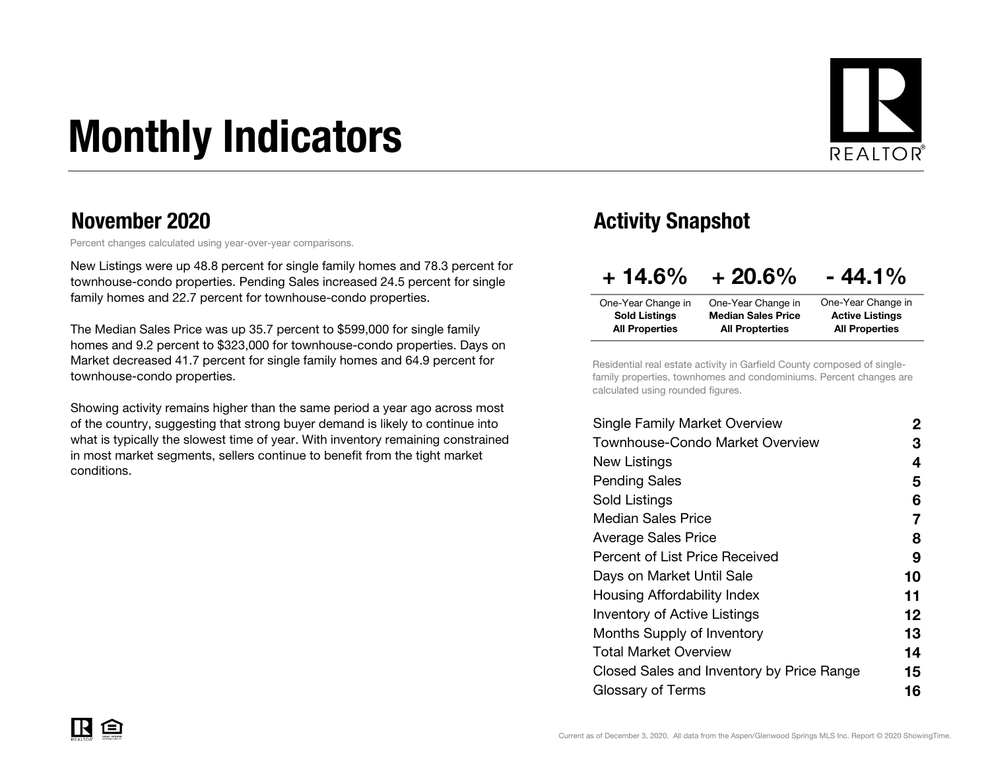# Monthly Indicators



#### November 2020

Percent changes calculated using year-over-year comparisons.

New Listings were up 48.8 percent for single family homes and 78.3 percent for townhouse-condo properties. Pending Sales increased 24.5 percent for single family homes and 22.7 percent for townhouse-condo properties.

The Median Sales Price was up 35.7 percent to \$599,000 for single family homes and 9.2 percent to \$323,000 for townhouse-condo properties. Days on Market decreased 41.7 percent for single family homes and 64.9 percent for townhouse-condo properties.

Showing activity remains higher than the same period a year ago across most of the country, suggesting that strong buyer demand is likely to continue into what is typically the slowest time of year. With inventory remaining constrained in most market segments, sellers continue to benefit from the tight market conditions.

### Activity Snapshot

| $+14.6%$              | $+20.6%$                  | $-44.1%$               |
|-----------------------|---------------------------|------------------------|
| One-Year Change in    | One-Year Change in        | One-Year Change in     |
| <b>Sold Listings</b>  | <b>Median Sales Price</b> | <b>Active Listings</b> |
| <b>All Properties</b> | <b>All Propterties</b>    | <b>All Properties</b>  |

Residential real estate activity in Garfield County composed of singlefamily properties, townhomes and condominiums. Percent changes are calculated using rounded figures.

| Single Family Market Overview             | 2  |
|-------------------------------------------|----|
| Townhouse-Condo Market Overview           | З  |
| New Listings                              | 4  |
| Pending Sales                             | 5  |
| Sold Listings                             | 6  |
| <b>Median Sales Price</b>                 | 7  |
| Average Sales Price                       | 8  |
| Percent of List Price Received            | 9  |
| Days on Market Until Sale                 | 10 |
| Housing Affordability Index               | 11 |
| <b>Inventory of Active Listings</b>       | 12 |
| <b>Months Supply of Inventory</b>         | 13 |
| Total Market Overview                     | 14 |
| Closed Sales and Inventory by Price Range | 15 |
| Glossary of Terms                         | 16 |
|                                           |    |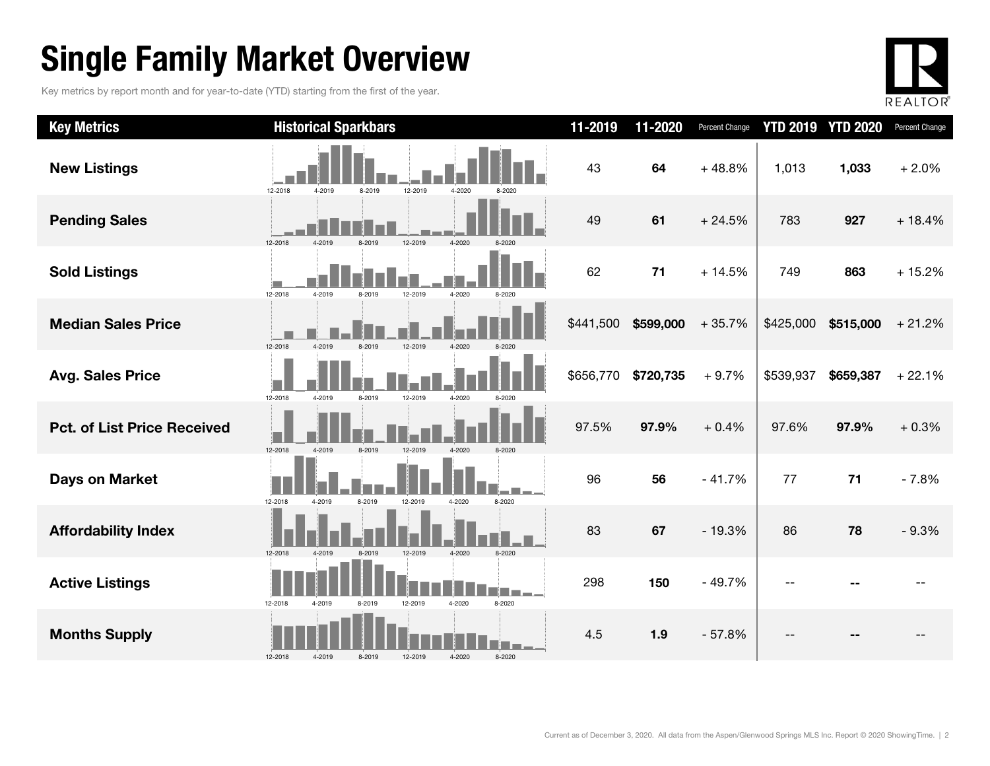### Single Family Market Overview

Key metrics by report month and for year-to-date (YTD) starting from the first of the year.



| <b>Key Metrics</b>                 | <b>Historical Sparkbars</b>                                        | 11-2019   | 11-2020   | Percent Change | <b>YTD 2019 YTD 2020</b> |           | Percent Change |
|------------------------------------|--------------------------------------------------------------------|-----------|-----------|----------------|--------------------------|-----------|----------------|
| <b>New Listings</b>                | 12-2018<br>12-2019<br>4-2019<br>8-2019<br>4-2020<br>8-2020         | 43        | 64        | $+48.8%$       | 1,013                    | 1,033     | $+2.0%$        |
| <b>Pending Sales</b>               | 12-2018<br>12-2019<br>4-2020                                       | 49        | 61        | $+24.5%$       | 783                      | 927       | $+18.4%$       |
| <b>Sold Listings</b>               | 12-2018<br>4-2019<br>8-2019<br>12-2019<br>4-2020                   | 62        | 71        | $+14.5%$       | 749                      | 863       | $+15.2%$       |
| <b>Median Sales Price</b>          | 12-2018<br>4-2019<br>8-2019<br>12-2019                             | \$441,500 | \$599,000 | $+35.7%$       | \$425,000                | \$515,000 | $+21.2%$       |
| <b>Avg. Sales Price</b>            | 12-2018<br>4-2019<br>8-2019<br>12-2019<br>4-2020                   | \$656,770 | \$720,735 | $+9.7%$        | \$539,937                | \$659,387 | $+22.1%$       |
| <b>Pct. of List Price Received</b> | 12-2018<br>4-2019<br>8-2019<br>12-2019<br>4-2020                   | 97.5%     | 97.9%     | $+0.4%$        | 97.6%                    | 97.9%     | $+0.3%$        |
| <b>Days on Market</b>              | 12-2018<br>4-2019<br>8-2019<br>12-2019<br>4-2020<br>8-2020         | 96        | 56        | $-41.7%$       | 77                       | 71        | $-7.8%$        |
| <b>Affordability Index</b>         | 12-2018<br>8-2019<br>12-2019<br>4-2020<br>$8 - 2020$<br>$4 - 2019$ | 83        | 67        | $-19.3%$       | 86                       | 78        | $-9.3%$        |
| <b>Active Listings</b>             | 12-2018<br>8-2020<br>12-2019<br>4-2020<br>4-2019<br>8-2019         | 298       | 150       | $-49.7%$       |                          |           |                |
| <b>Months Supply</b>               | 12-2018<br>8-2019<br>4-2020<br>8-2020<br>4-2019<br>12-2019         | 4.5       | 1.9       | $-57.8%$       |                          |           |                |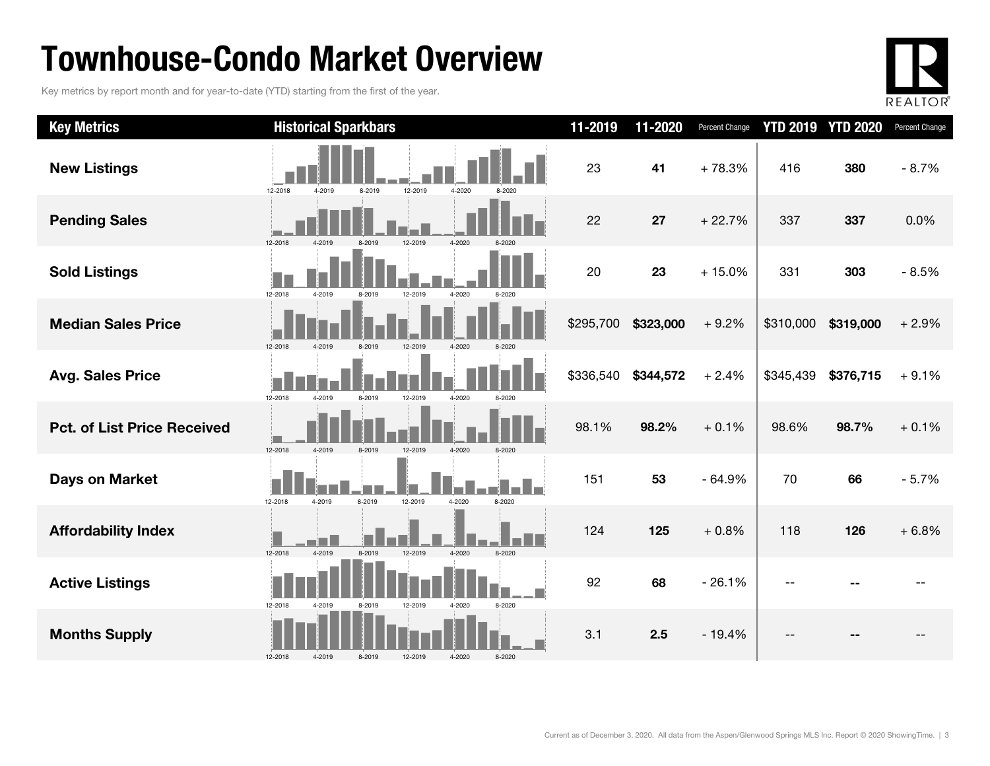### Townhouse-Condo Market Overview

Key metrics by report month and for year-to-date (YTD) starting from the first of the year.



| <b>Key Metrics</b>                 | <b>Historical Sparkbars</b>                                | 11-2019   | 11-2020   | Percent Change | <b>YTD 2019</b> | <b>YTD 2020</b> | Percent Change |
|------------------------------------|------------------------------------------------------------|-----------|-----------|----------------|-----------------|-----------------|----------------|
| <b>New Listings</b>                | 12-2018<br>4-2019<br>12-2019<br>4-2020<br>8-2019           | 23        | 41        | $+78.3%$       | 416             | 380             | $-8.7%$        |
| <b>Pending Sales</b>               | 12-2018<br>4-2020<br>12-2019                               | 22        | 27        | $+22.7%$       | 337             | 337             | 0.0%           |
| <b>Sold Listings</b>               | 12-2018<br>4-2020<br>4-2019<br>12-2019<br>8-2019           | 20        | 23        | $+15.0%$       | 331             | 303             | $-8.5%$        |
| <b>Median Sales Price</b>          | 12-2018<br>4-2019<br>8-2019<br>4-2020<br>12-2019           | \$295,700 | \$323,000 | $+9.2%$        | \$310,000       | \$319,000       | $+2.9%$        |
| <b>Avg. Sales Price</b>            | 12-2018<br>4-2019<br>8-2019<br>12-2019<br>4-2020<br>8-2020 | \$336,540 | \$344,572 | $+2.4%$        | \$345,439       | \$376,715       | $+9.1%$        |
| <b>Pct. of List Price Received</b> | 12-2018<br>4-2020<br>4-2019<br>8-2019<br>12-2019           | 98.1%     | 98.2%     | $+0.1%$        | 98.6%           | 98.7%           | $+0.1%$        |
| Days on Market                     | 8-2019<br>12-2019<br>4-2020<br>12-2018<br>4-2019<br>8-2020 | 151       | 53        | $-64.9%$       | 70              | 66              | $-5.7%$        |
| <b>Affordability Index</b>         | 12-2018<br>4-2019<br>8-2019<br>12-2019<br>4-2020<br>8-2020 | 124       | 125       | $+0.8%$        | 118             | 126             | $+6.8%$        |
| <b>Active Listings</b>             | 12-2018<br>4-2019<br>8-2019<br>12-2019<br>4-2020<br>8-2020 | 92        | 68        | $-26.1%$       |                 |                 |                |
| <b>Months Supply</b>               | 4-2020<br>12-2018<br>4-2019<br>8-2019<br>12-2019<br>8-2020 | 3.1       | 2.5       | $-19.4%$       |                 |                 |                |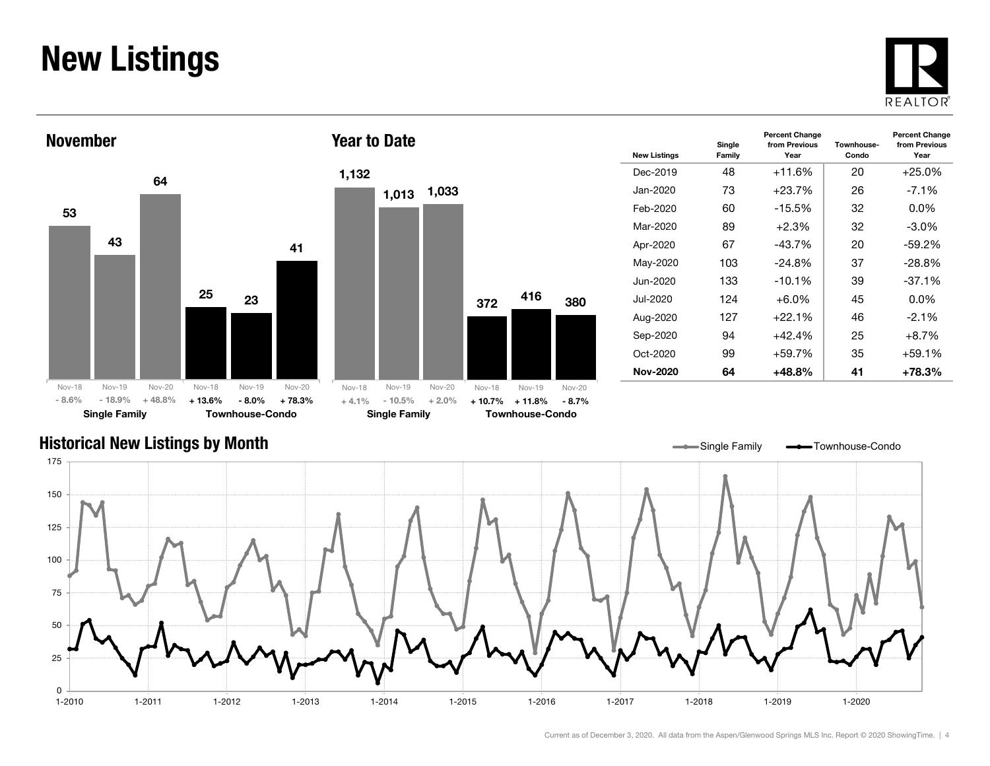### New Listings







| <b>New Listings</b> | Single<br>Family | <b>Percent Change</b><br>from Previous<br>Year | Townhouse-<br>Condo | <b>Percent Change</b><br>from Previous<br>Year |
|---------------------|------------------|------------------------------------------------|---------------------|------------------------------------------------|
| Dec-2019            | 48               | $+11.6%$                                       | 20                  | $+25.0%$                                       |
| Jan-2020            | 73               | $+23.7%$                                       | 26                  | $-7.1%$                                        |
| Feb-2020            | 60               | $-15.5\%$                                      | 32                  | $0.0\%$                                        |
| Mar-2020            | 89               | $+2.3%$                                        | 32                  | $-3.0\%$                                       |
| Apr-2020            | 67               | $-43.7%$                                       | 20                  | $-59.2%$                                       |
| May-2020            | 103              | $-24.8%$                                       | 37                  | $-28.8%$                                       |
| Jun-2020            | 133              | $-10.1%$                                       | 39                  | $-37.1%$                                       |
| Jul-2020            | 124              | $+6.0\%$                                       | 45                  | $0.0\%$                                        |
| Aug-2020            | 127              | $+22.1%$                                       | 46                  | $-2.1%$                                        |
| Sep-2020            | 94               | $+42.4%$                                       | 25                  | $+8.7\%$                                       |
| Oct-2020            | 99               | $+59.7%$                                       | 35                  | +59.1%                                         |
| <b>Nov-2020</b>     | 64               | $+48.8%$                                       | 41                  | +78.3%                                         |

#### Historical New Listings by Month

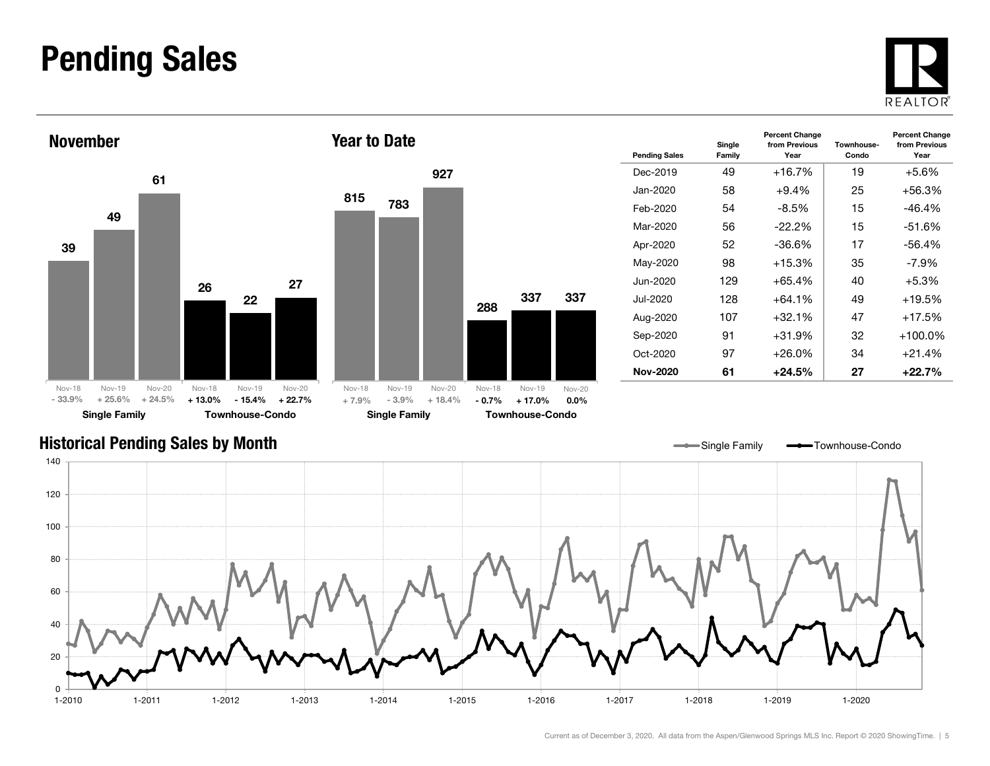### Pending Sales







| <b>Pending Sales</b> | Single<br>Family | <b>Percent Change</b><br>from Previous<br>Year | Townhouse-<br>Condo | <b>Percent Change</b><br>from Previous<br>Year |
|----------------------|------------------|------------------------------------------------|---------------------|------------------------------------------------|
| Dec-2019             | 49               | +16.7%                                         | 19                  | $+5.6%$                                        |
| Jan-2020.            | 58               | $+9.4%$                                        | 25                  | +56.3%                                         |
| Feb-2020             | 54               | -8.5%                                          | 15                  | -46.4%                                         |
| Mar-2020             | 56               | $-22.2\%$                                      | 15                  | $-51.6%$                                       |
| Apr-2020             | 52               | -36.6%                                         | 17                  | $-56.4%$                                       |
| May-2020             | 98               | $+15.3%$                                       | 35                  | -7.9%                                          |
| Jun-2020             | 129              | $+65.4%$                                       | 40                  | $+5.3%$                                        |
| Jul-2020             | 128              | $+64.1%$                                       | 49                  | $+19.5%$                                       |
| Aug-2020             | 107              | $+32.1\%$                                      | 47                  | $+17.5%$                                       |
| Sep-2020             | 91               | $+31.9%$                                       | 32                  | $+100.0\%$                                     |
| Oct-2020             | 97               | $+26.0\%$                                      | 34                  | $+21.4%$                                       |
| Nov-2020             | 61               | +24.5%                                         | 27                  | +22.7%                                         |

Single Family **-** Townhouse-Condo

#### Historical Pending Sales by Month

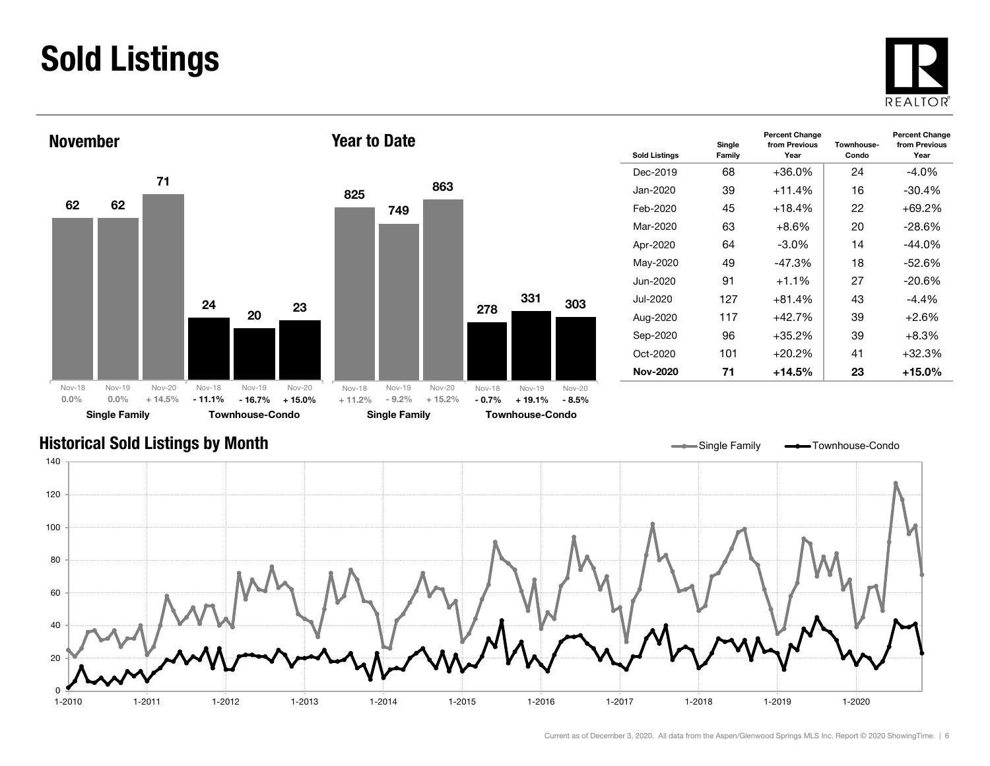### Sold Listings





| <b>Sold Listings</b> | Single<br>Family | <b>Percent Change</b><br>from Previous<br>Year | Townhouse-<br>Condo | <b>Percent Change</b><br>from Previous<br>Year |
|----------------------|------------------|------------------------------------------------|---------------------|------------------------------------------------|
| Dec-2019             | 68               | +36.0%                                         | 24                  | -4.0%                                          |
| Jan-2020.            | 39               | $+11.4%$                                       | 16                  | $-30.4%$                                       |
| Feb-2020             | 45               | $+18.4%$                                       | 22                  | $+69.2%$                                       |
| Mar-2020             | 63               | $+8.6\%$                                       | 20                  | $-28.6\%$                                      |
| Apr-2020             | 64               | $-3.0\%$                                       | 14                  | $-44.0%$                                       |
| May-2020             | 49               | $-47.3%$                                       | 18                  | $-52.6%$                                       |
| Jun-2020             | 91               | $+1.1%$                                        | 27                  | $-20.6%$                                       |
| Jul-2020             | 127              | $+81.4%$                                       | 43                  | $-4.4%$                                        |
| Aug-2020             | 117              | $+42.7%$                                       | 39                  | $+2.6\%$                                       |
| Sep-2020             | 96               | $+35.2\%$                                      | 39                  | $+8.3%$                                        |
| $Oct-2020$           | 101              | $+20.2\%$                                      | 41                  | $+32.3%$                                       |
| Nov-2020             | 71               | +14.5%                                         | 23                  | $+15.0\%$                                      |

#### Historical Sold Listings by Month

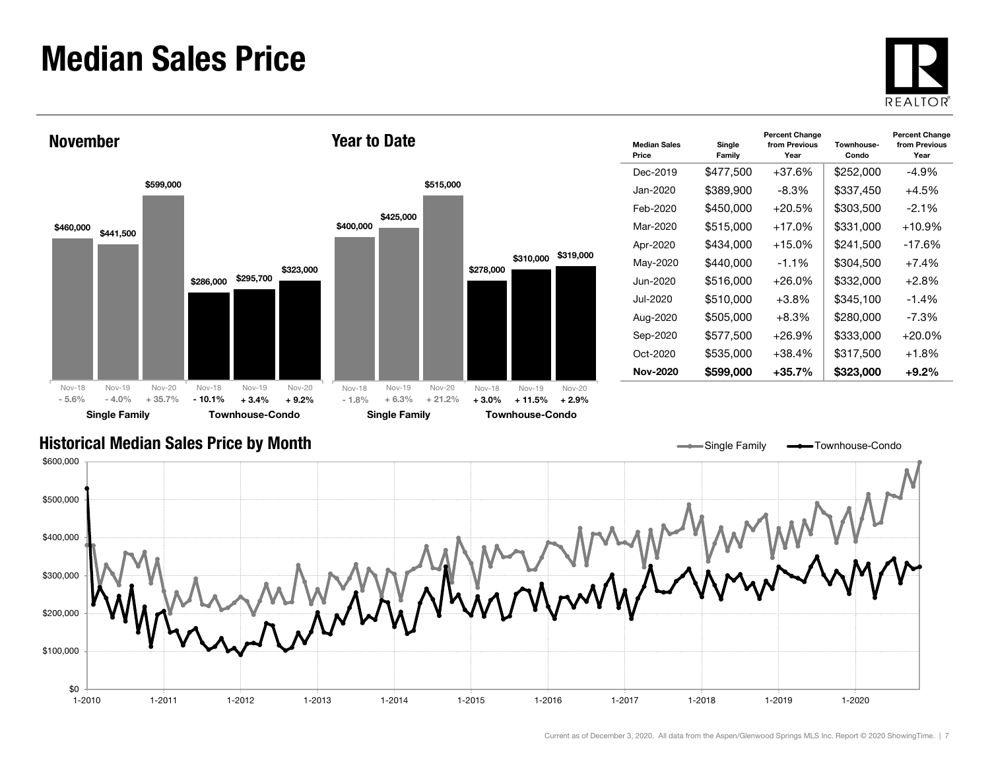### Median Sales Price





| <b>Median Sales</b><br>Price | Single<br>Family | <b>Percent Change</b><br>from Previous<br>Year | Townhouse-<br>Condo | <b>Percent Change</b><br>from Previous<br>Year |
|------------------------------|------------------|------------------------------------------------|---------------------|------------------------------------------------|
| Dec-2019                     | \$477,500        | $+37.6%$                                       | \$252,000           | -4.9%                                          |
| Jan-2020                     | \$389,900        | $-8.3%$                                        | \$337,450           | $+4.5%$                                        |
| Feb-2020                     | \$450,000        | $+20.5%$                                       | \$303,500           | $-2.1\%$                                       |
| Mar-2020                     | \$515,000        | $+17.0%$                                       | \$331,000           | $+10.9%$                                       |
| Apr-2020                     | \$434,000        | $+15.0%$                                       | \$241,500           | $-17.6%$                                       |
| May-2020                     | \$440,000        | $-1.1%$                                        | \$304,500           | $+7.4%$                                        |
| Jun-2020                     | \$516,000        | $+26.0\%$                                      | \$332,000           | $+2.8%$                                        |
| Jul-2020                     | \$510,000        | $+3.8%$                                        | \$345,100           | $-1.4%$                                        |
| Aug-2020                     | \$505,000        | $+8.3\%$                                       | \$280,000           | $-7.3\%$                                       |
| Sep-2020                     | \$577,500        | +26.9%                                         | \$333,000           | $+20.0%$                                       |
| Oct-2020                     | \$535,000        | $+38.4%$                                       | \$317,500           | $+1.8%$                                        |
| Nov-2020                     | \$599,000        | +35.7%                                         | \$323,000           | $+9.2\%$                                       |

Single Family **-** Townhouse-Condo

#### Historical Median Sales Price by Month

\$0 \$100,000 \$200,000 \$300,000 \$400,000 \$500,000 \$600,000 1-2010 1-2011 1-2012 1-2013 1-2014 1-2015 1-2016 1-2017 1-2018 1-2019 1-20201-2020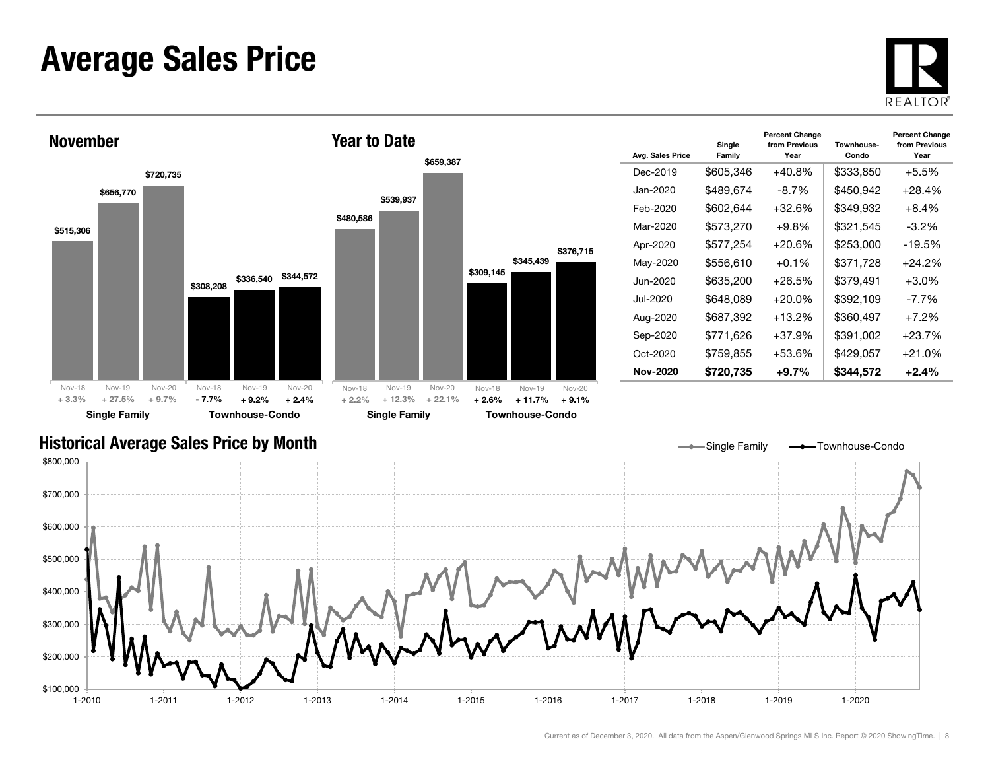### Average Sales Price





| Avg. Sales Price | Single<br>Family | <b>Percent Change</b><br>from Previous<br>Year | Townhouse-<br>Condo | <b>Percent Change</b><br>from Previous<br>Year |
|------------------|------------------|------------------------------------------------|---------------------|------------------------------------------------|
| Dec-2019         | \$605,346        | $+40.8%$                                       | \$333,850           | $+5.5%$                                        |
| Jan-2020.        | \$489,674        | $-8.7\%$                                       | \$450,942           | $+28.4%$                                       |
| Feb-2020         | \$602,644        | $+32.6\%$                                      | \$349,932           | +8.4%                                          |
| Mar-2020         | \$573,270        | +9.8%                                          | \$321,545           | $-3.2\%$                                       |
| Apr-2020         | \$577,254        | $+20.6%$                                       | \$253,000           | $-19.5%$                                       |
| May-2020         | \$556,610        | $+0.1\%$                                       | \$371,728           | $+24.2%$                                       |
| Jun-2020         | \$635,200        | $+26.5%$                                       | \$379,491           | $+3.0\%$                                       |
| Jul-2020         | \$648,089        | $+20.0\%$                                      | \$392.109           | $-7.7\%$                                       |
| Aug-2020         | \$687,392        | $+13.2\%$                                      | \$360,497           | $+7.2\%$                                       |
| Sep-2020         | \$771,626        | $+37.9%$                                       | \$391,002           | $+23.7%$                                       |
| Oct-2020         | \$759.855        | +53.6%                                         | \$429,057           | $+21.0%$                                       |
| Nov-2020         | \$720,735        | +9.7%                                          | \$344.572           | $+2.4\%$                                       |

Single Family **- Townhouse-Condo** 

#### Historical Average Sales Price by Month

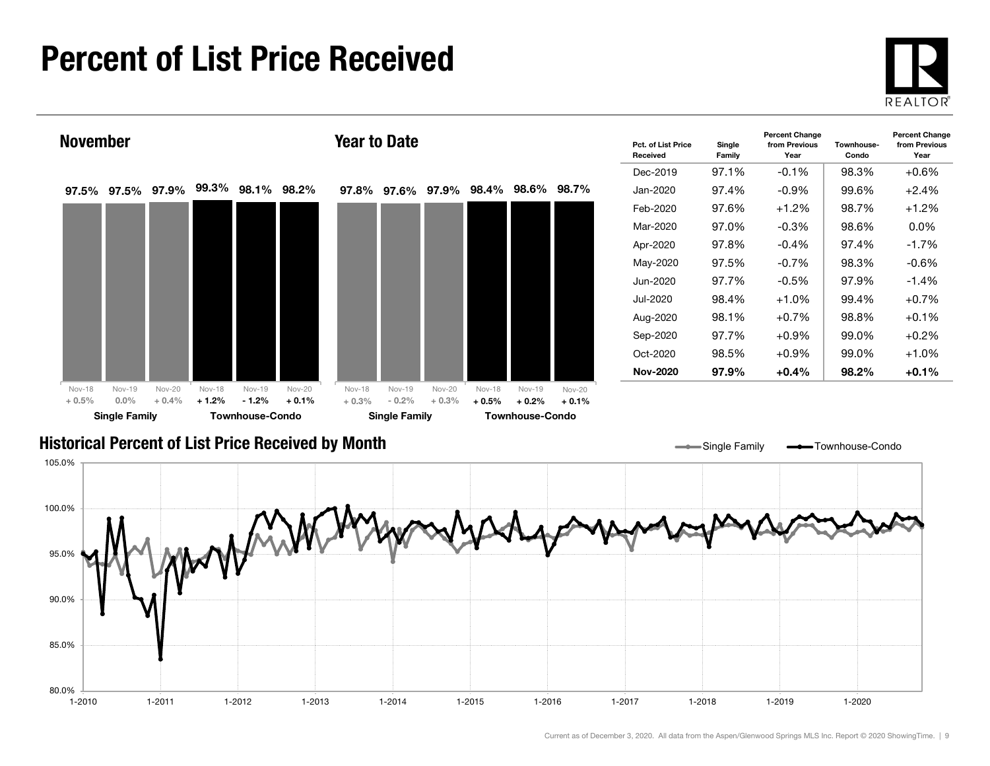### Percent of List Price Received

80.0%

85.0%

90.0%





1-2010 1-2011 1-2012 1-2013 1-2014 1-2015 1-2016 1-2017 1-2018 1-2019 1-2020

Current as of December 3, 2020. All data from the Aspen/Glenwood Springs MLS Inc. Report © 2020 ShowingTime. | 9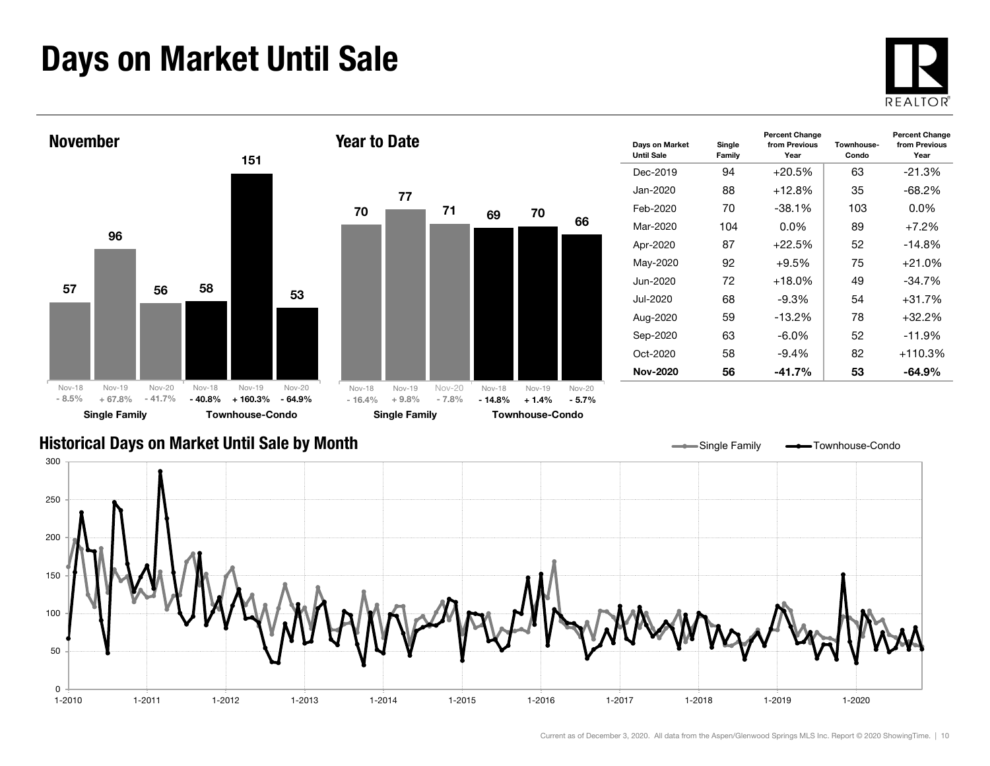### Days on Market Until Sale



Year



#### Historical Days on Market Until Sale by Month



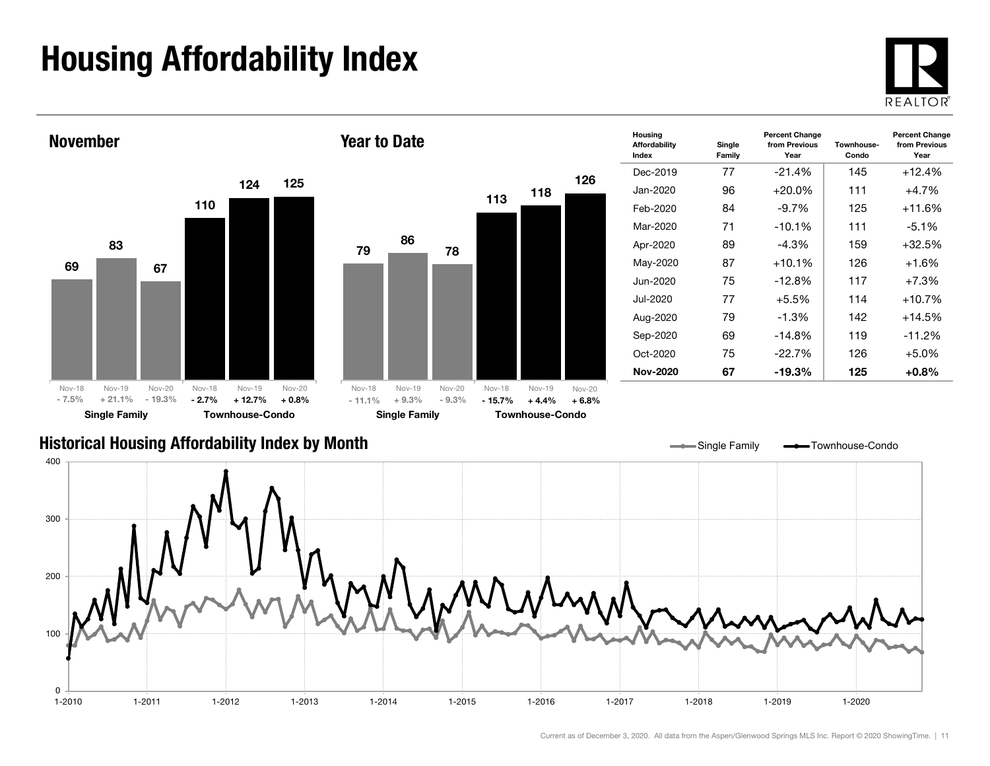## Housing Affordability Index



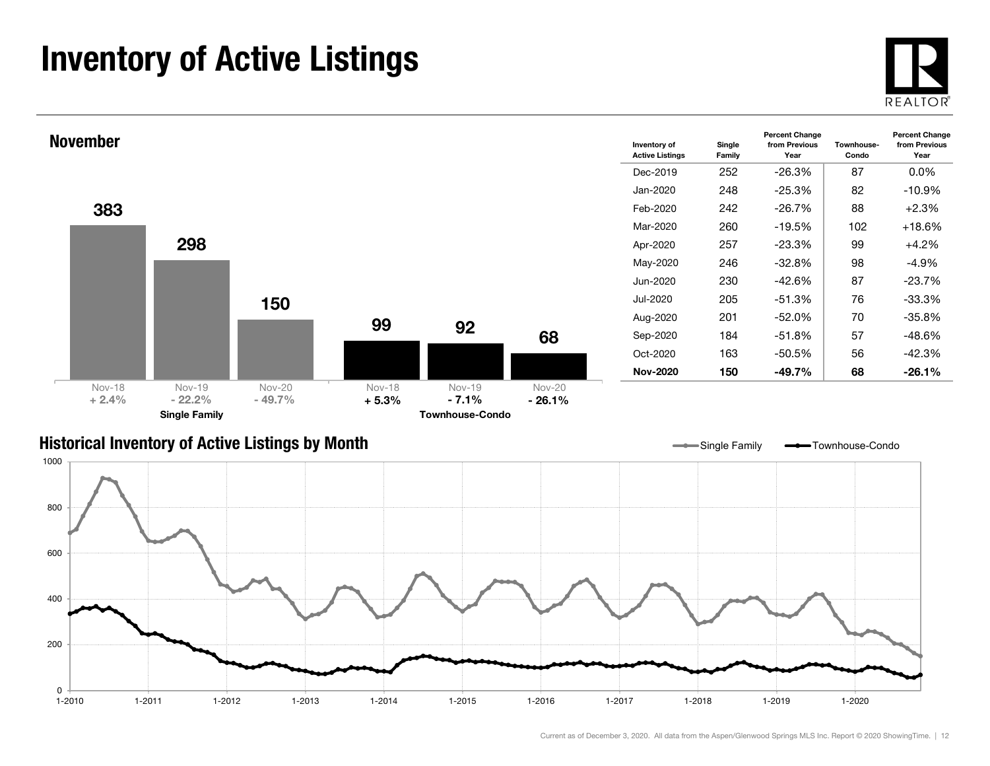### Inventory of Active Listings





#### Historical Inventory of Active Listings by Month

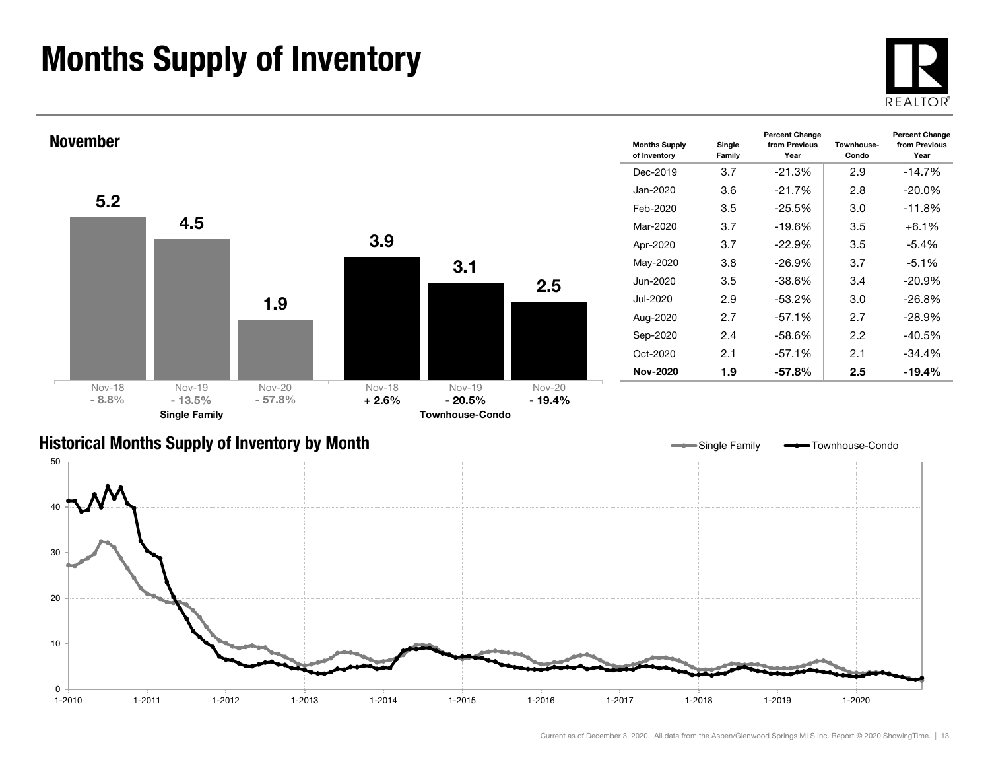### Months Supply of Inventory





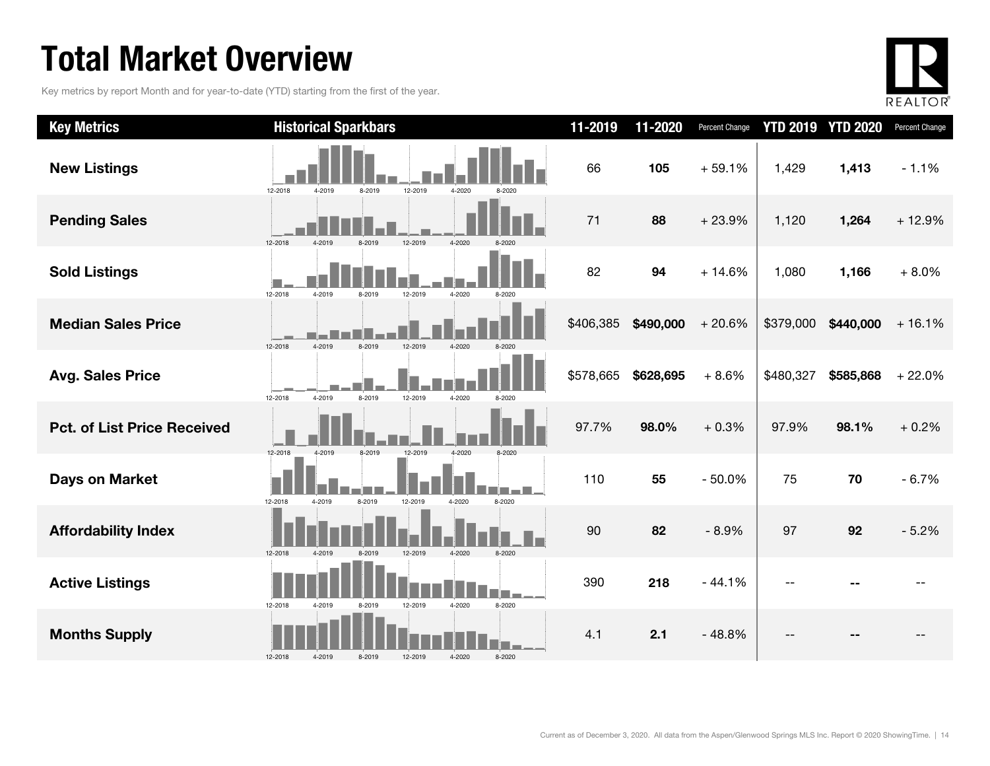### Total Market Overview

Key metrics by report Month and for year-to-date (YTD) starting from the first of the year.



| <b>Key Metrics</b>                 | <b>Historical Sparkbars</b>                                    | 11-2019   | 11-2020   | Percent Change |           | <b>YTD 2019 YTD 2020</b> | Percent Change |
|------------------------------------|----------------------------------------------------------------|-----------|-----------|----------------|-----------|--------------------------|----------------|
| <b>New Listings</b>                | 12-2018<br>4-2019<br>12-2019<br>4-2020<br>8-2019<br>8-2020     | 66        | 105       | $+59.1%$       | 1,429     | 1,413                    | $-1.1%$        |
| <b>Pending Sales</b>               | 12-2018<br>12-2019<br>4-2020<br>1-2019<br>8-2019               | 71        | 88        | $+23.9%$       | 1,120     | 1,264                    | $+12.9%$       |
| <b>Sold Listings</b>               | 12-2018<br>4-2019<br>12-2019<br>8-2019<br>4-2020<br>8-2020     | 82        | 94        | $+14.6%$       | 1,080     | 1,166                    | $+8.0%$        |
| <b>Median Sales Price</b>          | 12-2018<br>4-2019<br>8-2019<br>12-2019<br>4-2020               | \$406,385 | \$490,000 | $+20.6%$       | \$379,000 | \$440,000                | $+16.1%$       |
| <b>Avg. Sales Price</b>            | 4-2019<br>12-2018<br>8-2019<br>12-2019<br>4-2020<br>8-2020     | \$578,665 | \$628,695 | $+8.6%$        | \$480,327 | \$585,868                | $+22.0%$       |
| <b>Pct. of List Price Received</b> | 12-2018<br>12-2019<br>4-2019<br>8-2019<br>$4 - 2020$           | 97.7%     | 98.0%     | $+0.3%$        | 97.9%     | 98.1%                    | $+0.2%$        |
| <b>Days on Market</b>              | 12-2018<br>8-2019<br>12-2019<br>8-2020<br>4-2019<br>4-2020     | 110       | 55        | $-50.0%$       | 75        | 70                       | $-6.7%$        |
| <b>Affordability Index</b>         | 12-2018<br>8-2019<br>12-2019<br>4-2020<br>8-2020<br>$4 - 2010$ | 90        | 82        | $-8.9%$        | 97        | 92                       | $-5.2%$        |
| <b>Active Listings</b>             | 4-2020<br>8-2020<br>12-2018<br>4-2019<br>8-2019<br>12-2019     | 390       | 218       | $-44.1%$       |           |                          |                |
| <b>Months Supply</b>               | 12-2018<br>4-2019<br>8-2019<br>12-2019<br>4-2020<br>8-2020     | 4.1       | 2.1       | $-48.8%$       |           |                          |                |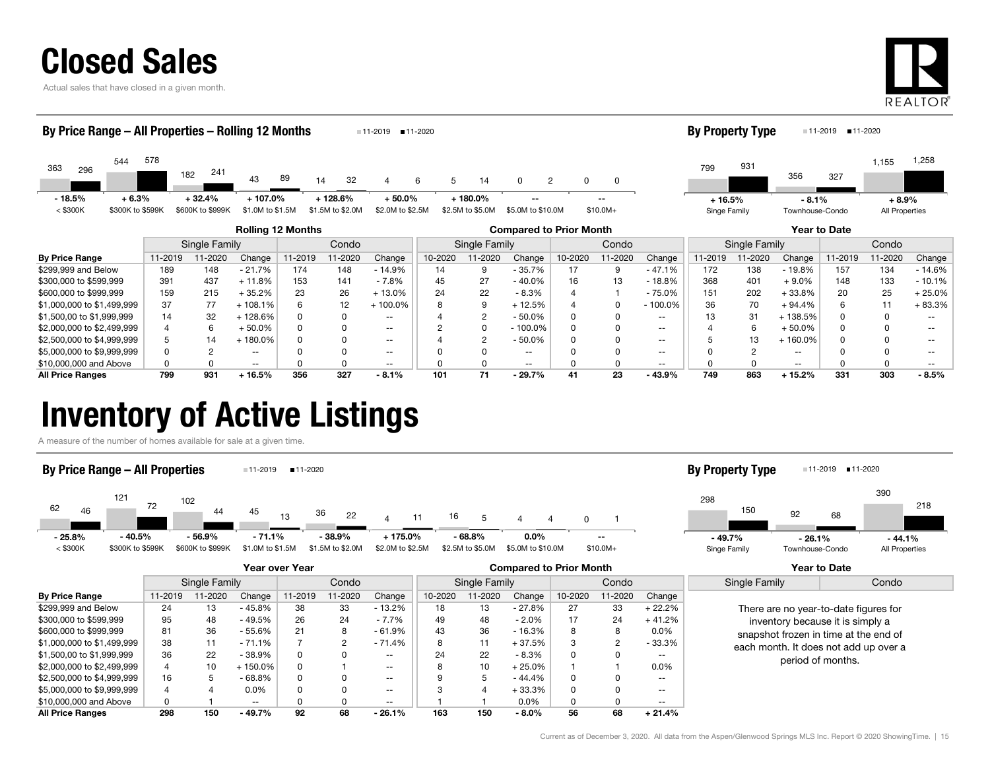

Actual sales that have closed in a given month.



#### Rolling 12 Months Compared to Prior Month Year to Date Single Family Condo || Single Family | Condo || Single Family | Condo 363544182 $43$  89 3 <sup>89</sup> 14 32 32  $\overline{4}$ 296 182 241 43 89 14 32 4 6 5 14 0 2 0 5782412 4 6 6 5 14 0 2 0 0 < \$300K \$300K to \$599K \$600K to \$999K \$1.0M to \$1.5M \$1.5M to \$2.0M \$2.0M \$2.5M \$2.5M \$2.5M \$5.0M to \$10.0M \$10.0M+ By Price Range – All Properties – Rolling 12 Months 11-2019 11-2020 7993561,155 <sup>931</sup>327 1,258 Singe Family Townhouse-Condo All Properties **By Property Type** 11-2019 11-2020 --- 18.5% $+ 6.3\% + 32.4\% + 107.0\%$  + 128.6% + 50.0% + 180.0% -- + 16.5% $+ 16.5\%$   $- 8.1\%$   $+ 8.9\%$

| <b>By Price Range</b>      | 11-2019 | 11-2020 | Change   | 11-2019 | 1-2020 | Change                   | 10-2020 | 1-2020 | Change     | 10-2020 | 11-2020 | Change     | 11-2019 | 1-2020 | Change     | 1-2019 | 11-2020 | Change   |  |
|----------------------------|---------|---------|----------|---------|--------|--------------------------|---------|--------|------------|---------|---------|------------|---------|--------|------------|--------|---------|----------|--|
| \$299,999 and Below        | 189     | 148     | $-21.7%$ | 174     | 148    | $-14.9%$                 |         |        | $-35.7%$   |         |         | - 47.1%    | 172     | 138    | - 19.8%    | 157    | 134     | $-14.6%$ |  |
| \$300,000 to \$599,999     | 391     | 437     | 11.8%    | 153     | 141    | $-7.8%$                  | 45      | 27     | $-40.0\%$  | 16      |         | 18.8%      | 368     | 401    | $+9.0%$    | 148    | 133     | $-10.1%$ |  |
| \$600,000 to \$999,999     | 159     | 215     | 35.2%    | 23      | 26     | $+13.0%$                 |         | 22     | $-8.3%$    |         |         | 75.0%      | 151     | 202    | $+33.8%$   | 20     |         | - 25.0%  |  |
| \$1,000,000 to \$1,499,999 | 37      | 77      | 108.1%   |         |        | $100.0\%$                |         |        | + 12.5%    |         |         | $-100.0\%$ | 36      | 70     | $+94.4%$   |        |         | + 83.3%  |  |
| \$1,500,00 to \$1,999,999  | 14      | 32      | 128.6%   |         |        |                          |         |        | $-50.0%$   |         |         |            |         | 31     | 138.5%     |        |         |          |  |
| \$2,000,000 to \$2,499,999 |         |         | 50.0%    |         |        | $\overline{\phantom{a}}$ |         |        | $-100.0\%$ |         |         | $- -$      |         |        | $+50.0%$   |        |         |          |  |
| \$2,500,000 to \$4,999,999 |         | 14      | 180.0%   |         |        | $- -$                    |         |        | $-50.0%$   |         |         | $- -$      |         | 13     | $-160.0\%$ |        |         |          |  |
| \$5,000,000 to \$9,999,999 |         |         |          |         |        |                          |         |        | --         |         |         |            |         |        |            |        |         |          |  |
| \$10,000,000 and Above     |         |         | --       |         |        | $\overline{\phantom{a}}$ |         |        | $- -$      |         |         |            |         |        | --         |        |         |          |  |
| <b>All Price Ranges</b>    | 799     | 931     | 16.5%    | 356     | 327    | $-8.1%$                  | 101     | 71     | $-29.7%$   | 41      | 23      | $-43.9%$   | 749     | 863    | + 15.2%    | 331    | 303     | $-8.5%$  |  |

### Inventory of Active Listings

A measure of the number of homes available for sale at a given time.

#### By Price Range – All Properties 11-2019 11-2020





|                            |         |               |          | Year over Year |         |                          | <b>Compared to Prior Month</b> |               |          |              |        |                          | Year to Date                          |                                       |  |
|----------------------------|---------|---------------|----------|----------------|---------|--------------------------|--------------------------------|---------------|----------|--------------|--------|--------------------------|---------------------------------------|---------------------------------------|--|
|                            |         | Single Family |          |                | Condo   |                          |                                | Single Family |          |              | Condo  |                          | Single Family                         | Condo                                 |  |
| <b>By Price Range</b>      | 11-2019 | 11-2020       | Change   | 1-2019         | 11-2020 | Change                   | 10-2020                        | $1 - 2020$    | Change   | 10-2020      | 1-2020 | Change                   |                                       |                                       |  |
| \$299,999 and Below        | 24      | 13            | - 45.8%  | 38             | 33      | $-13.2\%$                | 18                             | 13            | $-27.8%$ | 27           | 33     | $+22.2%$                 |                                       | There are no year-to-date figures for |  |
| \$300,000 to \$599,999     | 95      | 48            | $-49.5%$ | 26             | 24      | - 7.7%                   | 49                             | 48            | $-2.0\%$ | 17           | 24     | $+41.2%$                 |                                       | inventory because it is simply a      |  |
| \$600,000 to \$999,999     | 81      | 36            | $-55.6%$ | 21             | 8       | $-61.9%$                 | 43                             | 36            | $-16.3%$ | 8            | 8      | $0.0\%$                  | snapshot frozen in time at the end of |                                       |  |
| \$1,000,000 to \$1,499,999 | 38      | 11            | - 71.1%  |                |         | - 71.4%                  |                                |               | + 37.5%  | 3            |        | - 33.3%                  |                                       | each month. It does not add up over a |  |
| \$1,500,00 to \$1,999,999  | 36      | 22            | $-38.9%$ |                |         | $- -$                    | 24                             | 22            | $-8.3%$  | <sup>0</sup> | 0      | $- -$                    |                                       | period of months.                     |  |
| \$2,000,000 to \$2,499,999 | 4       | 10            | + 150.0% |                |         | $- -$                    |                                | 10            | $+25.0%$ |              |        | $0.0\%$                  |                                       |                                       |  |
| \$2,500,000 to \$4,999,999 | 16      |               | $-68.8%$ |                |         | $\overline{\phantom{a}}$ |                                |               | - 44.4%  | <sup>0</sup> | 0      | $\qquad \qquad -$        |                                       |                                       |  |
| \$5,000,000 to \$9,999,999 |         |               | 0.0%     |                |         | $\overline{\phantom{a}}$ |                                | 4             | $+33.3%$ | 0            | 0      | $- -$                    |                                       |                                       |  |
| \$10,000,000 and Above     | 0       |               | $- -$    |                |         | $- -$                    |                                |               | $0.0\%$  | 0            | 0      | $\overline{\phantom{m}}$ |                                       |                                       |  |
| <b>All Price Ranges</b>    | 298     | 150           | - 49.7%  | 92             | 68      | $-26.1%$                 | 163                            | 150           | $-8.0\%$ | 56           | 68     | $+21.4%$                 |                                       |                                       |  |

| <b>By Property Type</b> |
|-------------------------|
|                         |